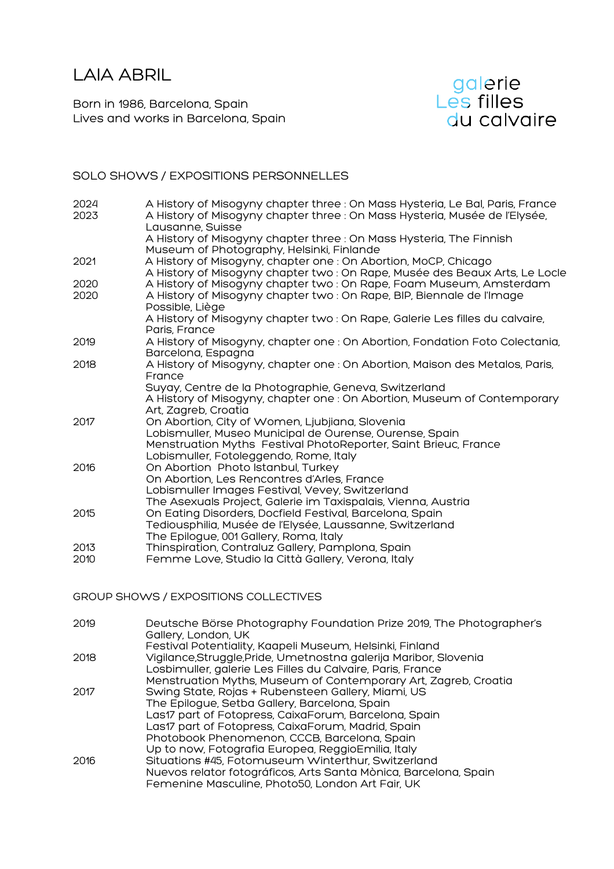LAIA ABRIL

Born in 1986, Barcelona, Spain Lives and works in Barcelona, Spain



# SOLO SHOWS / EXPOSITIONS PERSONNELLES

| 2024         | A History of Misogyny chapter three : On Mass Hysteria, Le Bal, Paris, France                                                                                                                                                                   |
|--------------|-------------------------------------------------------------------------------------------------------------------------------------------------------------------------------------------------------------------------------------------------|
| 2023         | A History of Misogyny chapter three : On Mass Hysteria, Musée de l'Elysée,<br>Lausanne, Suisse                                                                                                                                                  |
|              | A History of Misogyny chapter three : On Mass Hysteria, The Finnish<br>Museum of Photography, Helsinki, Finlande                                                                                                                                |
| 2021         | A History of Misogyny, chapter one : On Abortion, MoCP, Chicago<br>A History of Misogyny chapter two : On Rape, Musée des Beaux Arts, Le Locle                                                                                                  |
| 2020         | A History of Misogyny chapter two: On Rape, Foam Museum, Amsterdam                                                                                                                                                                              |
| 2020         | A History of Misogyny chapter two: On Rape, BIP, Biennale de l'Image<br>Possible, Liège                                                                                                                                                         |
|              | A History of Misogyny chapter two: On Rape, Galerie Les filles du calvaire,<br>Paris, France                                                                                                                                                    |
| 2019         | A History of Misogyny, chapter one : On Abortion, Fondation Foto Colectania,<br>Barcelona, Espagna                                                                                                                                              |
| 2018         | A History of Misogyny, chapter one : On Abortion, Maison des Metalos, Paris,<br>France<br>Suyay, Centre de la Photographie, Geneva, Switzerland<br>A History of Misogyny, chapter one : On Abortion, Museum of Contemporary                     |
| 2017         | Art, Zagreb, Croatia<br>On Abortion, City of Women, Ljubjiana, Slovenia<br>Lobismuller, Museo Municipal de Ourense, Ourense, Spain<br>Menstruation Myths Festival PhotoReporter, Saint Brieuc, France<br>Lobismuller, Fotoleggendo, Rome, Italy |
| 2016         | On Abortion Photo Istanbul, Turkey<br>On Abortion, Les Rencontres d'Arles, France<br>Lobismuller Images Festival, Vevey, Switzerland<br>The Asexuals Project, Galerie im Taxispalais, Vienna, Austria                                           |
| 2015         | On Eating Disorders, Docfield Festival, Barcelona, Spain<br>Tediousphilia, Musée de l'Elysée, Laussanne, Switzerland<br>The Epilogue, 001 Gallery, Roma, Italy                                                                                  |
| 2013<br>2010 | Thinspiration, Contraluz Gallery, Pamplona, Spain<br>Femme Love, Studio la Città Gallery, Verona, Italy                                                                                                                                         |
|              |                                                                                                                                                                                                                                                 |

GROUP SHOWS / EXPOSITIONS COLLECTIVES

| 2019 | Deutsche Börse Photography Foundation Prize 2019, The Photographer's<br>Gallery, London, UK |
|------|---------------------------------------------------------------------------------------------|
|      | Festival Potentiality, Kaapeli Museum, Helsinki, Finland                                    |
| 2018 | Vigilance, Struggle, Pride, Umetnostna galerija Maribor, Slovenia                           |
|      | Losbimuller, galerie Les Filles du Calvaire, Paris, France                                  |
|      | Menstruation Myths, Museum of Contemporary Art, Zagreb, Croatia                             |
| 2017 | Swing State, Rojas + Rubensteen Gallery, Miami, US                                          |
|      | The Epilogue, Setba Gallery, Barcelona, Spain                                               |
|      | Las17 part of Fotopress, CaixaForum, Barcelona, Spain                                       |
|      | Las17 part of Fotopress, CaixaForum, Madrid, Spain                                          |
|      | Photobook Phenomenon, CCCB, Barcelona, Spain                                                |
|      | Up to now, Fotografia Europea, ReggioEmilia, Italy                                          |
| 2016 | Situations #45, Fotomuseum Winterthur, Switzerland                                          |
|      | Nuevos relator fotográficos, Arts Santa Mònica, Barcelona, Spain                            |
|      | Femenine Masculine, Photo50, London Art Fair, UK                                            |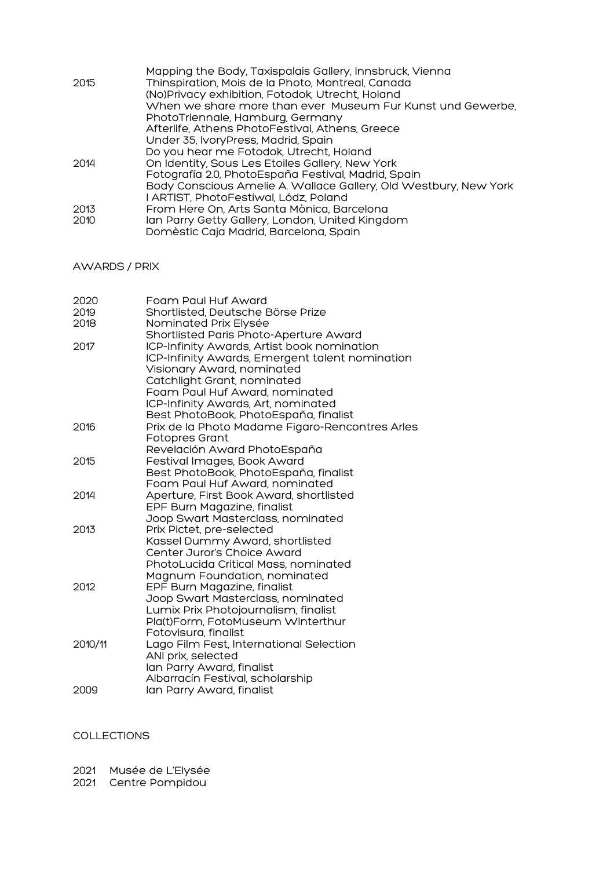|      | Mapping the Body, Taxispalais Gallery, Innsbruck, Vienna         |
|------|------------------------------------------------------------------|
| 2015 | Thinspiration, Mois de la Photo, Montreal, Canada                |
|      | (No)Privacy exhibition, Fotodok, Utrecht, Holand                 |
|      | When we share more than ever Museum Fur Kunst und Gewerbe,       |
|      | PhotoTriennale, Hamburg, Germany                                 |
|      | Afterlife, Athens PhotoFestival, Athens, Greece                  |
|      | Under 35, IvoryPress, Madrid, Spain                              |
|      | Do you hear me Fotodok, Utrecht, Holand                          |
| 2014 | On Identity, Sous Les Etoiles Gallery, New York                  |
|      | Fotografía 2.0, PhotoEspaña Festival, Madrid, Spain              |
|      | Body Conscious Amelie A. Wallace Gallery, Old Westbury, New York |
|      | I ARTIST, PhotoFestiwal, Lódz, Poland                            |
| 2013 | From Here On, Arts Santa Mònica, Barcelona                       |
| 2010 | lan Parry Getty Gallery, London, United Kingdom                  |
|      | Domèstic Caja Madrid, Barcelona, Spain                           |

## AWARDS / PRIX

| 2020    | Foam Paul Huf Award                             |
|---------|-------------------------------------------------|
| 2019    | Shortlisted, Deutsche Börse Prize               |
| 2018    | Nominated Prix Elysée                           |
|         | Shortlisted Paris Photo-Aperture Award          |
| 2017    | ICP-Infinity Awards, Artist book nomination     |
|         | ICP-Infinity Awards, Emergent talent nomination |
|         | Visionary Award, nominated                      |
|         | Catchlight Grant, nominated                     |
|         | Foam Paul Huf Award, nominated                  |
|         | ICP-Infinity Awards, Art, nominated             |
|         | Best PhotoBook, PhotoEspaña, finalist           |
| 2016    | Prix de la Photo Madame Figaro-Rencontres Arles |
|         | Fotopres Grant                                  |
|         | Revelación Award PhotoEspaña                    |
| 2015    | Festival Images, Book Award                     |
|         | Best PhotoBook, PhotoEspaña, finalist           |
|         | Foam Paul Huf Award, nominated                  |
| 2014    | Aperture, First Book Award, shortlisted         |
|         | EPF Burn Magazine, finalist                     |
|         | Joop Swart Masterclass, nominated               |
| 2013    | Prix Pictet, pre-selected                       |
|         | Kassel Dummy Award, shortlisted                 |
|         | Center Juror's Choice Award                     |
|         | PhotoLucida Critical Mass, nominated            |
|         | Magnum Foundation, nominated                    |
| 2012    | EPF Burn Magazine, finalist                     |
|         | Joop Swart Masterclass, nominated               |
|         | Lumix Prix Photojournalism, finalist            |
|         | Pla(t)Form, FotoMuseum Winterthur               |
|         | Fotovisura, finalist                            |
| 2010/11 | Lago Film Fest, International Selection         |
|         | ANI prix, selected                              |
|         | lan Parry Award, finalist                       |
|         | Albarracín Festival, scholarship                |
| 2009    | lan Parry Award, finalist                       |
|         |                                                 |

### COLLECTIONS

2021 Musée de L'Elysée

2021 Centre Pompidou